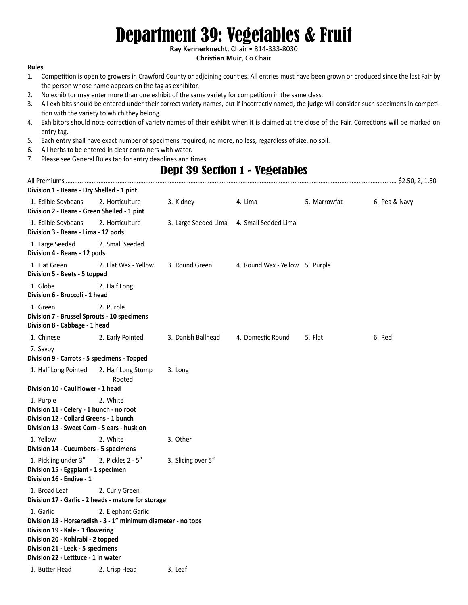# Department 39: Vegetables & Fruit

**Ray Kennerknecht**, Chair • 814-333-8030

#### **Christian Muir**, Co Chair

#### **Rules**

- 1. Competition is open to growers in Crawford County or adjoining counties. All entries must have been grown or produced since the last Fair by the person whose name appears on the tag as exhibitor.
- 2. No exhibitor may enter more than one exhibit of the same variety for competition in the same class.
- 3. All exhibits should be entered under their correct variety names, but if incorrectly named, the judge will consider such specimens in competition with the variety to which they belong.
- 4. Exhibitors should note correction of variety names of their exhibit when it is claimed at the close of the Fair. Corrections will be marked on entry tag.
- 5. Each entry shall have exact number of specimens required, no more, no less, regardless of size, no soil.
- 6. All herbs to be entered in clear containers with water.
- 7. Please see General Rules tab for entry deadlines and times.

### Dept 39 Section 1 - Vegetables All Premiums ............................................................................................................................................................................................... \$2.50, 2, 1.50

| Division 1 - Beans - Dry Shelled - 1 pint                                                                                                                                                                                      |                              |                      |                                 |              |               |
|--------------------------------------------------------------------------------------------------------------------------------------------------------------------------------------------------------------------------------|------------------------------|----------------------|---------------------------------|--------------|---------------|
| 1. Edible Soybeans<br>Division 2 - Beans - Green Shelled - 1 pint                                                                                                                                                              | 2. Horticulture              | 3. Kidney            | 4. Lima                         | 5. Marrowfat | 6. Pea & Navy |
| 1. Edible Soybeans<br>Division 3 - Beans - Lima - 12 pods                                                                                                                                                                      | 2. Horticulture              | 3. Large Seeded Lima | 4. Small Seeded Lima            |              |               |
| 1. Large Seeded<br>Division 4 - Beans - 12 pods                                                                                                                                                                                | 2. Small Seeded              |                      |                                 |              |               |
| 1. Flat Green<br>Division 5 - Beets - 5 topped                                                                                                                                                                                 | 2. Flat Wax - Yellow         | 3. Round Green       | 4. Round Wax - Yellow 5. Purple |              |               |
| 1. Globe<br>Division 6 - Broccoli - 1 head                                                                                                                                                                                     | 2. Half Long                 |                      |                                 |              |               |
| 1. Green<br>Division 7 - Brussel Sprouts - 10 specimens<br>Division 8 - Cabbage - 1 head                                                                                                                                       | 2. Purple                    |                      |                                 |              |               |
| 1. Chinese                                                                                                                                                                                                                     | 2. Early Pointed             | 3. Danish Ballhead   | 4. Domestic Round               | 5. Flat      | 6. Red        |
| 7. Savoy<br>Division 9 - Carrots - 5 specimens - Topped                                                                                                                                                                        |                              |                      |                                 |              |               |
| 1. Half Long Pointed                                                                                                                                                                                                           | 2. Half Long Stump<br>Rooted | 3. Long              |                                 |              |               |
| Division 10 - Cauliflower - 1 head                                                                                                                                                                                             |                              |                      |                                 |              |               |
| 1. Purple<br>Division 11 - Celery - 1 bunch - no root<br>Division 12 - Collard Greens - 1 bunch<br>Division 13 - Sweet Corn - 5 ears - husk on                                                                                 | 2. White                     |                      |                                 |              |               |
| 1. Yellow<br>Division 14 - Cucumbers - 5 specimens                                                                                                                                                                             | 2. White                     | 3. Other             |                                 |              |               |
| 1. Pickling under 3"<br>Division 15 - Eggplant - 1 specimen<br>Division 16 - Endive - 1                                                                                                                                        | 2. Pickles 2 - 5"            | 3. Slicing over 5"   |                                 |              |               |
| 1. Broad Leaf<br>Division 17 - Garlic - 2 heads - mature for storage                                                                                                                                                           | 2. Curly Green               |                      |                                 |              |               |
| 1. Garlic<br>Division 18 - Horseradish - 3 - 1" minimum diameter - no tops<br>Division 19 - Kale - 1 flowering<br>Division 20 - Kohlrabi - 2 topped<br>Division 21 - Leek - 5 specimens<br>Division 22 - Letttuce - 1 in water | 2. Elephant Garlic           |                      |                                 |              |               |
| 1. Butter Head                                                                                                                                                                                                                 | 2. Crisp Head                | 3. Leaf              |                                 |              |               |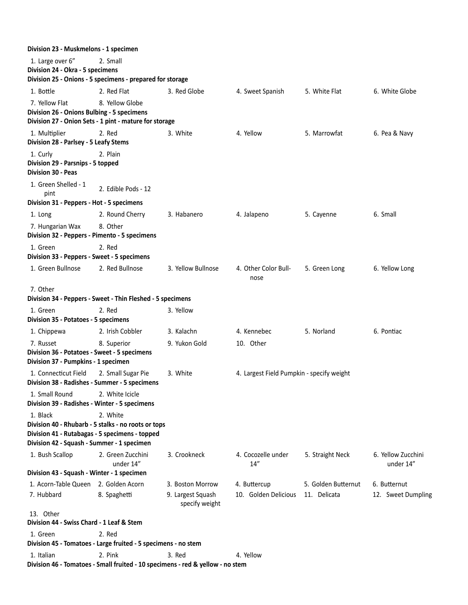| Division 23 - Muskmelons - 1 specimen                                                                    |                                                                                |                                                         |                                           |                                     |                                    |
|----------------------------------------------------------------------------------------------------------|--------------------------------------------------------------------------------|---------------------------------------------------------|-------------------------------------------|-------------------------------------|------------------------------------|
| 1. Large over 6"<br>Division 24 - Okra - 5 specimens                                                     | 2. Small<br>Division 25 - Onions - 5 specimens - prepared for storage          |                                                         |                                           |                                     |                                    |
| 1. Bottle                                                                                                | 2. Red Flat                                                                    | 3. Red Globe                                            | 4. Sweet Spanish                          | 5. White Flat                       | 6. White Globe                     |
| 7. Yellow Flat<br>Division 26 - Onions Bulbing - 5 specimens                                             | 8. Yellow Globe                                                                |                                                         |                                           |                                     |                                    |
|                                                                                                          | Division 27 - Onion Sets - 1 pint - mature for storage                         |                                                         |                                           |                                     |                                    |
| 1. Multiplier<br>Division 28 - Parlsey - 5 Leafy Stems                                                   | 2. Red                                                                         | 3. White                                                | 4. Yellow                                 | 5. Marrowfat                        | 6. Pea & Navy                      |
| 1. Curly<br>Division 29 - Parsnips - 5 topped<br><b>Division 30 - Peas</b>                               | 2. Plain                                                                       |                                                         |                                           |                                     |                                    |
| 1. Green Shelled - 1<br>pint                                                                             | 2. Edible Pods - 12                                                            |                                                         |                                           |                                     |                                    |
| Division 31 - Peppers - Hot - 5 specimens                                                                |                                                                                |                                                         |                                           |                                     |                                    |
| 1. Long                                                                                                  | 2. Round Cherry                                                                | 3. Habanero                                             | 4. Jalapeno                               | 5. Cayenne                          | 6. Small                           |
| 7. Hungarian Wax<br>Division 32 - Peppers - Pimento - 5 specimens                                        | 8. Other                                                                       |                                                         |                                           |                                     |                                    |
| 1. Green                                                                                                 | 2. Red                                                                         |                                                         |                                           |                                     |                                    |
| Division 33 - Peppers - Sweet - 5 specimens                                                              |                                                                                |                                                         |                                           |                                     |                                    |
| 1. Green Bullnose                                                                                        | 2. Red Bullnose                                                                | 3. Yellow Bullnose                                      | 4. Other Color Bull-<br>nose              | 5. Green Long                       | 6. Yellow Long                     |
| 7. Other                                                                                                 | Division 34 - Peppers - Sweet - Thin Fleshed - 5 specimens                     |                                                         |                                           |                                     |                                    |
| 1. Green<br>Division 35 - Potatoes - 5 specimens                                                         | 2. Red                                                                         | 3. Yellow                                               |                                           |                                     |                                    |
| 1. Chippewa                                                                                              | 2. Irish Cobbler                                                               | 3. Kalachn                                              | 4. Kennebec                               | 5. Norland                          | 6. Pontiac                         |
| 7. Russet<br>Division 36 - Potatoes - Sweet - 5 specimens                                                | 8. Superior                                                                    | 9. Yukon Gold                                           | 10. Other                                 |                                     |                                    |
| Division 37 - Pumpkins - 1 specimen                                                                      |                                                                                |                                                         |                                           |                                     |                                    |
| 1. Connecticut Field<br>Division 38 - Radishes - Summer - 5 specimens                                    | 2. Small Sugar Pie                                                             | 3. White                                                | 4. Largest Field Pumpkin - specify weight |                                     |                                    |
| 1. Small Round<br>Division 39 - Radishes - Winter - 5 specimens                                          | 2. White Icicle                                                                |                                                         |                                           |                                     |                                    |
| 1. Black<br>Division 41 - Rutabagas - 5 specimens - topped<br>Division 42 - Squash - Summer - 1 specimen | 2. White<br>Division 40 - Rhubarb - 5 stalks - no roots or tops                |                                                         |                                           |                                     |                                    |
| 1. Bush Scallop                                                                                          | 2. Green Zucchini<br>under 14"                                                 | 3. Crookneck                                            | 4. Cocozelle under<br>14''                | 5. Straight Neck                    | 6. Yellow Zucchini<br>under 14"    |
| Division 43 - Squash - Winter - 1 specimen                                                               |                                                                                |                                                         |                                           |                                     |                                    |
| 1. Acorn-Table Queen 2. Golden Acorn<br>7. Hubbard                                                       | 8. Spaghetti                                                                   | 3. Boston Morrow<br>9. Largest Squash<br>specify weight | 4. Buttercup<br>10. Golden Delicious      | 5. Golden Butternut<br>11. Delicata | 6. Butternut<br>12. Sweet Dumpling |
| 13. Other<br>Division 44 - Swiss Chard - 1 Leaf & Stem                                                   |                                                                                |                                                         |                                           |                                     |                                    |
| 1. Green                                                                                                 | 2. Red<br>Division 45 - Tomatoes - Large fruited - 5 specimens - no stem       |                                                         |                                           |                                     |                                    |
| 1. Italian                                                                                               | 2. Pink                                                                        | 3. Red                                                  | 4. Yellow                                 |                                     |                                    |
|                                                                                                          | Division 46 - Tomatoes - Small fruited - 10 specimens - red & yellow - no stem |                                                         |                                           |                                     |                                    |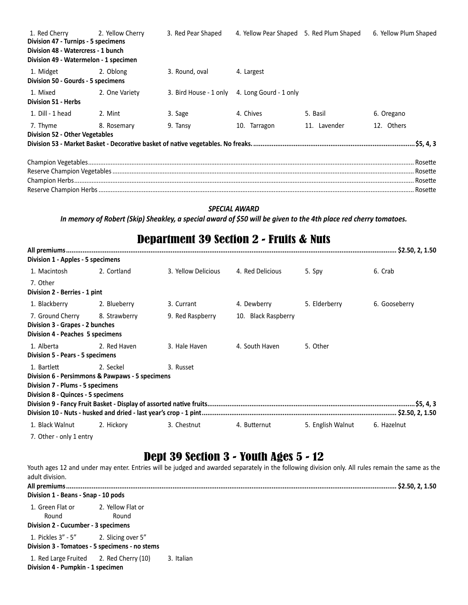| 1. Red Cherry 2. Yellow Cherry<br>Division 47 - Turnips - 5 specimens<br>Division 48 - Watercress - 1 bunch<br>Division 49 - Watermelon - 1 specimen |                | 3. Red Pear Shaped | 4. Yellow Pear Shaped 5. Red Plum Shaped      |              | 6. Yellow Plum Shaped |
|------------------------------------------------------------------------------------------------------------------------------------------------------|----------------|--------------------|-----------------------------------------------|--------------|-----------------------|
| 1. Midget 2. Oblong<br>Division 50 - Gourds - 5 specimens                                                                                            |                | 3. Round, oval     | 4. Largest                                    |              |                       |
| 1. Mixed<br><b>Division 51 - Herbs</b>                                                                                                               | 2. One Variety |                    | 3. Bird House - 1 only 4. Long Gourd - 1 only |              |                       |
| 1. Dill - 1 head                                                                                                                                     | 2. Mint        | 3. Sage            | 4. Chives                                     | 5. Basil     | 6. Oregano            |
| 7. Thyme<br><b>Division 52 - Other Vegetables</b>                                                                                                    | 8. Rosemary    | 9. Tansy           | 10. Tarragon                                  | 11. Lavender | 12. Others            |
|                                                                                                                                                      |                |                    |                                               |              |                       |

#### *SPECIAL AWARD*

*In memory of Robert (Skip) Sheakley, a special award of \$50 will be given to the 4th place red cherry tomatoes.*

## Department 39 Section 2 - Fruits & Nuts

| Division 1 - Apples - 5 specimens  |                                                 |                     |                     |                   |               |
|------------------------------------|-------------------------------------------------|---------------------|---------------------|-------------------|---------------|
| 1. Macintosh                       | 2. Cortland                                     | 3. Yellow Delicious | 4. Red Delicious    | 5. Spy            | 6. Crab       |
| 7. Other                           |                                                 |                     |                     |                   |               |
| Division 2 - Berries - 1 pint      |                                                 |                     |                     |                   |               |
| 1. Blackberry                      | 2. Blueberry                                    | 3. Currant          | 4. Dewberry         | 5. Elderberry     | 6. Gooseberry |
| 7. Ground Cherry 8. Strawberry     |                                                 | 9. Red Raspberry    | 10. Black Raspberry |                   |               |
| Division 3 - Grapes - 2 bunches    |                                                 |                     |                     |                   |               |
| Division 4 - Peaches 5 specimens   |                                                 |                     |                     |                   |               |
| 1. Alberta                         | 2. Red Haven                                    | 3. Hale Haven       | 4. South Haven      | 5. Other          |               |
| Division 5 - Pears - 5 specimens   |                                                 |                     |                     |                   |               |
| 1. Bartlett                        | 2. Seckel                                       | 3. Russet           |                     |                   |               |
|                                    | Division 6 - Persimmons & Pawpaws - 5 specimens |                     |                     |                   |               |
| Division 7 - Plums - 5 specimens   |                                                 |                     |                     |                   |               |
| Division 8 - Quinces - 5 specimens |                                                 |                     |                     |                   |               |
|                                    |                                                 |                     |                     |                   |               |
|                                    |                                                 |                     |                     |                   |               |
| 1. Black Walnut                    | 2. Hickory                                      | 3. Chestnut         | 4. Butternut        | 5. English Walnut | 6. Hazelnut   |
| 7. Other - only 1 entry            |                                                 |                     |                     |                   |               |

# Dept 39 Section 3 - Youth Ages 5 - 12

Youth ages 12 and under may enter. Entries will be judged and awarded separately in the following division only. All rules remain the same as the adult division. **All premiums.................................................................................................................................................................................... \$2.50, 2, 1.50 Division 1 - Beans - Snap - 10 pods** 1. Green Flat or Round 2. Yellow Flat or Round **Division 2 - Cucumber - 3 specimens** 1. Pickles 3" - 5" 2. Slicing over 5" **Division 3 - Tomatoes - 5 specimens - no stems** 1. Red Large Fruited 2. Red Cherry (10) 3. Italian **Division 4 - Pumpkin - 1 specimen**